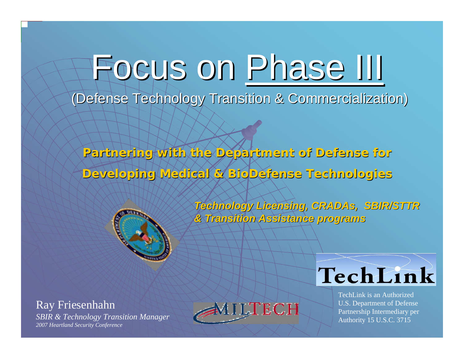# Focus on Phase III

(Defense Technology Transition & Commercialization) (Defense Technology Transition & Commercialization)

Partnering with the Department of Defense for **Developing Medical & Developing Medical & BioDefense BioDefense Technologies Technologies**



*Technology Licensing, Technology Licensing, CRADAs, SBIR/STTR , SBIR/STTR & Transition Assistance programs & Transition Assistance programs*



*2007 Heartland Security Conference*





TechLink is an Authorized U.S. Department of Defense Partnership Intermediary per Authority 15 U.S.C. 3715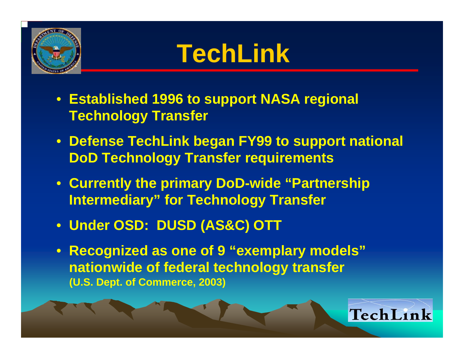

# **TechLink**

- **Established 1996 to support NASA regional Technology Transfer**
- **Defense TechLink began FY99 to support national DoD Technology Transfer requirements**
- **Currently the primary DoD-wide "Partnership Intermediary" for Technology Transfer**
- **Under OSD: DUSD (AS&C) OTT**
- **Recognized as one of 9 "exemplary models" nationwide of federal technology transfer (U.S. Dept. of Commerce, 2003)**

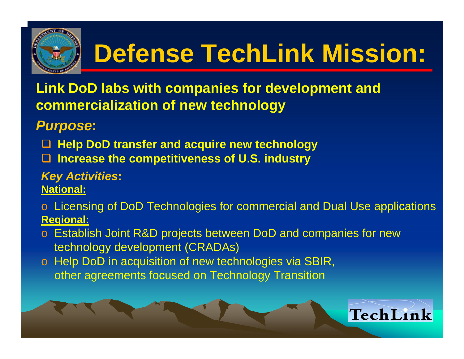

# **Defense TechLink Mission:**

**Link DoD labs with companies for development and commercialization of new technology**

### *Purpose***:**

- **Help DoD transfer and acquire new technology**
- $\Box$ **Increase the competitiveness of U.S. industry**
- *Key Activities***:**
- **National:**
- o Licensing of DoD Technologies for commercial and Dual Use applications **Regional:**
- o Establish Joint R&D projects between DoD and companies for new technology development (CRADAs)
- o Help DoD in acquisition of new technologies via SBIR, other agreements focused on Technology Transition

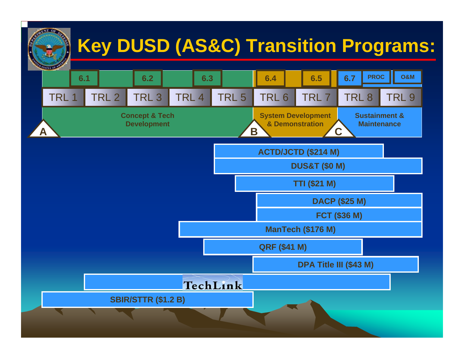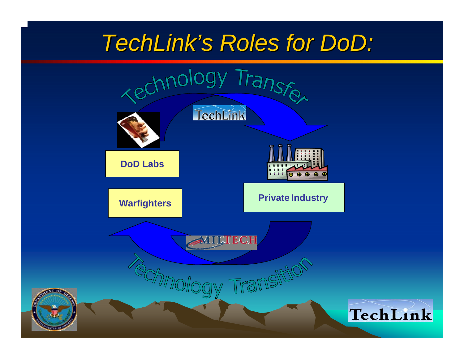## *TechLink's TechLink's Roles for Roles for DoD :*

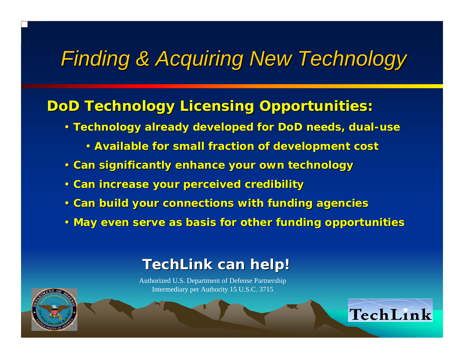## *Finding & Acquiring New Technology Finding & Acquiring New Technology*

### **DoD Technology Licensing Opportunities: Technology Licensing Opportunities:**

- **Technology already developed for DoD needs, dual Technology already developed for DoD needs, dual-use**
	- **Available for small fraction of development cost Available for small fraction of development cost**
- **Can significantly enhance your own technology Can significantly enhance your own technology**
- **Can increase your perceived credibility Can increase your perceived credibility**
- **Can build your connections with funding agencies Can build your connections with funding agencies**
- **May even serve as basis fo May even serve as basis for other funding opportunities r other funding opportunities**

### **TechLink can help! TechLink can help!**

Authorized U.S. Department of Defense Partnership Intermediary per Authority 15 U.S.C. 3715



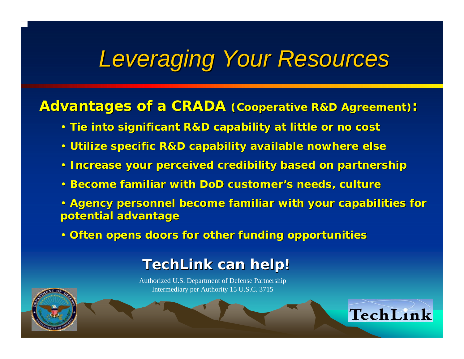# *Leveraging Your Resources Leveraging Your Resources*

### **Advantages of a CRADA (Cooperative R&D Agreement):**

- **Tie into significant R&D capability at little or no cost Tie into significant R&D capability at little or no cost**
- **Utilize specific R&D capability available nowhere else specific R&D capability available nowhere else**
- **Increase your perceived credibility based on partnership Increase your perceived credibility based on partnership**
- **Become familiar with DoD customer's needs, culture Become with DoD customer's needs, culture**
- Agency personnel become familiar with your capabilities for **potential advantage potential advantage**
- Often opens doors for other funding opportunities

### **TechLink can help! TechLink can help!**

Authorized U.S. Department of Defense Partnership Intermediary per Authority 15 U.S.C. 3715



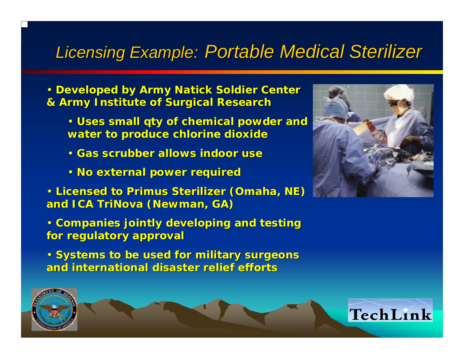### *Licensing Example: Licensing Example: Portable Medical Sterilizer Portable Medical Sterilizer*

- Developed by Army Natick Soldier Center **& Army Institute of Surgical Research & Army Institute of Surgical Research** 
	- Uses small qty of chemical powder and **water to produce chlorine dioxide water to produce chlorine dioxide**
	- **Gas scrubber allows indoor use Gas scrubber allows indoor use**
	- **No external power required No external power required**
- **Licensed to Primus Sterilizer (Omaha, NE) Licensed to Primus Sterilizer (Omaha, NE) and ICA TriNova (Newman, GA)**
- **Companies jointly developing and testing Companies jointly developing and testing for regulatory approval for regulatory approval**
- **Systems to be used for military surgeons and international disaster relief efforts and international disaster relief efforts**



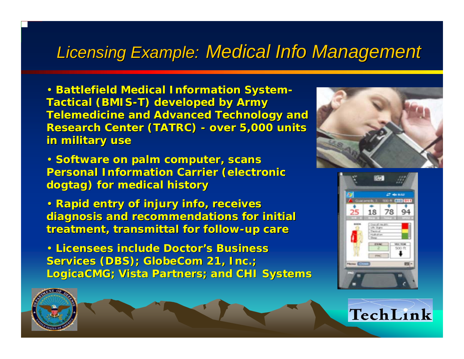### *Licensing Example: Licensing Example: Medical Info Management Medical Info Management*

• **Battlefield Medical Information System-Tactical (BMIS-T) developed by Army Telemedicine and Advanced Technology and Research Center (TATRC) - over 5,000 units in military use in military use**

**• Software on palm computer, scans Personal Information Carrier (electronic dogtag) for medical history ) for medical history**

• **Rapid entry of injury info, receives Rapid entry of injury info, receives diagnosis and recommendations for initial diagnosis and recommendations for initial treatment, transmittal for follow-up care up care**

**• Licensees include Doctor's Business** Services (DBS); GlobeCom 21, Inc.; **LogicaCMG; Vista Partners; and CHI Systems** 





TechLink

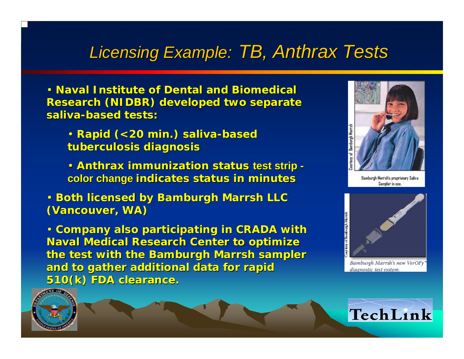### *Licensing Example: TB, Anthrax Tests*

**• Naval Institute of Dental and Biomedical Research (NIDBR) developed two separate saliva-based tests: based tests:**

- **Rapid (<20 min.) saliva Rapid (<20 min.) saliva-based tuberculosis diagnosis tuberculosis diagnosis**
- **Anthrax immunization status test strip color change color change indicates status in minutes indicates status in minutes**
- **Both licensed by licensed by Bamburgh Bamburgh Marrsh LLC (Vancouver, WA) (Vancouver, WA)**

• **Company also participating in CRADA with Naval Medical Research Center to optimize the test with the Bamburgh Marrsh sampler and to gather additional data for rapid and to gather additional data for rapid 510(k) FDA clearance. 510(k) FDA clearance.**





Bamburgh Marrsh's proprietary Saliva Sampler in use.



Bamburgh Marrsh's new VerOFy' diagnostic test system.

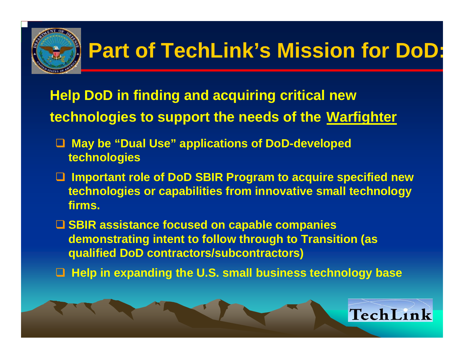

**Help DoD in finding and acquiring critical new technologies to support the needs of the Warfighter**

- **May be "Dual Use" applications of DoD-developed technologies**
- **Important role of DoD SBIR Program to acquire specified new technologies or capabilities from innovative small technology firms.**
- **SBIR assistance focused on capable companies demonstrating intent to follow through to Transition (as qualified DoD contractors/subcontractors)**
- **Help in expanding the U.S. small business technology base**

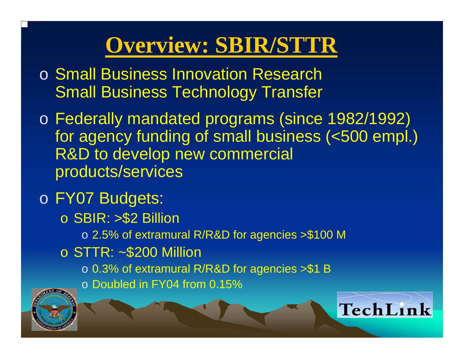## **Overview: SBIR/STTR**

- o Small Business Innovation Research Small Business Technology Transfer
- o Federally mandated programs (since 1982/1992) for agency funding of small business (<500 empl.) R&D to develop new commercial products/services

TechLinl

o FY07 Budgets: <sup>o</sup> SBIR: >\$2 Billion o 2.5% of extramural R/R&D for agencies >\$100 M <sup>o</sup> STTR: ~\$200 Million o 0.3% of extramural R/R&D for agencies >\$1 B o Doubled in FY04 from 0.15%

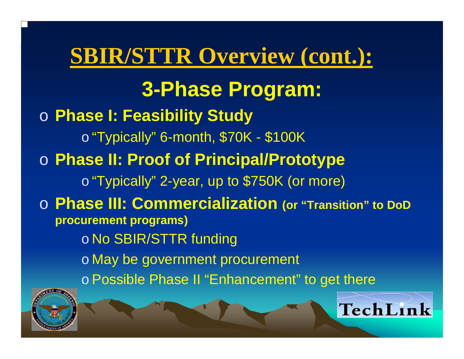## **SBIR/STTR Overview (cont.):**

## **3-Phase Program:**

### o **Phase I: Feasibility Study**

o "Typically" 6-month, \$70K - \$100K

### o **Phase II: Proof of Principal/Prototype**

o "Typically" 2-year, up to \$750K (or more)

### o **Phase III: Commercialization (or "Transition" to DoD procurement programs)**

o No SBIR/STTR funding

o May be government procurement

o Possible Phase II "Enhancement" to get there



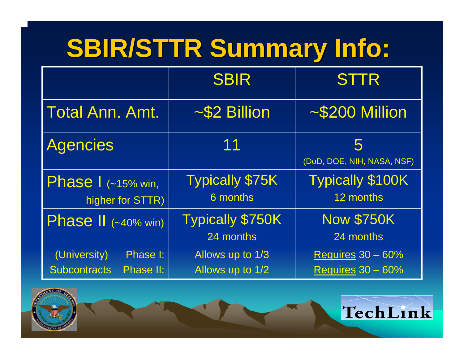# **SBIR/STTR Summary Info: SBIR/STTR Summary Info:**

|                                                              | <b>SBIR</b>                          | <b>STTR</b>                                          |
|--------------------------------------------------------------|--------------------------------------|------------------------------------------------------|
| Total Ann. Amt.                                              | ~\$2 Billion                         | ~\$200 Million                                       |
| <b>Agencies</b>                                              | 11                                   | 5<br>(DoD, DOE, NIH, NASA, NSF)                      |
| <b>Phase   (~15% win,</b><br>higher for STTR)                | <b>Typically \$75K</b><br>6 months   | <b>Typically \$100K</b><br>12 months                 |
| Phase II (~40% win)                                          | <b>Typically \$750K</b><br>24 months | <b>Now \$750K</b><br>24 months                       |
| Phase I:<br>(University)<br>Phase II:<br><b>Subcontracts</b> | Allows up to 1/3<br>Allows up to 1/2 | <b>Requires 30 - 60%</b><br><b>Requires 30 - 60%</b> |



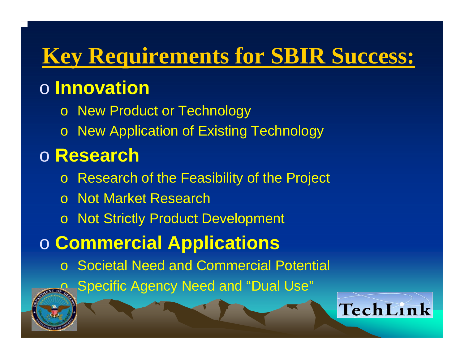# **Key Requirements for SBIR Success:**

### o **Innovation**

- <sup>o</sup> New Product or Technology
- <sup>o</sup> New Application of Existing Technology

### o **Research**

- o Research of the Feasibility of the Project
- o Not Market Research
- <sup>o</sup> Not Strictly Product Development
- o **Commercial Applications**
	- o Societal Need and Commercial Potential

**Specific Agency Need and "Dual Use"** 

TechLin

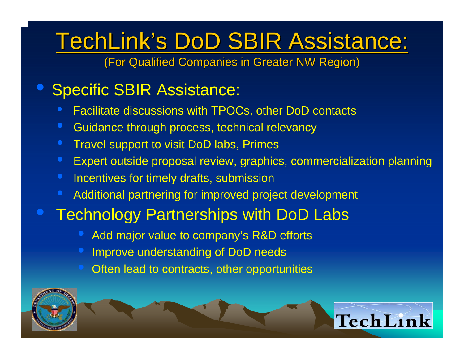## TechLink's DoD SBIR Assistance:

(For Qualified Companies in Greater NW Region) (For Qualified Companies in Greater NW Region)

#### $\bullet$ Specific SBIR Assistance:

- $\bullet$ Facilitate discussions with TPOCs, other DoD contacts
- $\bullet$ Guidance through process, technical relevancy
- $\bullet$ Travel support to visit DoD labs, Primes
- $\bullet$ Expert outside proposal review, graphics, commercialization planning
- $\bigodot$ Incentives for timely drafts, submission
- $\bigodot$ Additional partnering for improved project development
- $\bigodot$  Technology Partnerships with DoD Labs
	- $\bigodot$ Add major value to company's R&D efforts
	- $\bigodot$ Improve understanding of DoD needs
	- Often lead to contracts, other opportunities



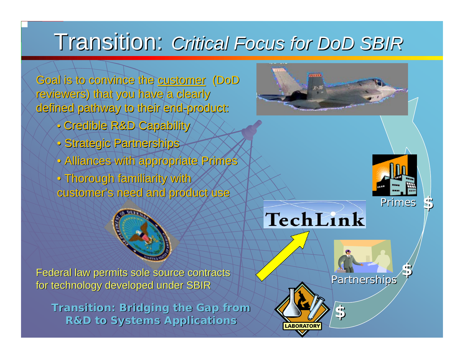## Transition: Transition: *Critical Focus for DoD SBIR Critical Focus for DoD SBIR*

Goal is to convince the customer (DoD reviewers) that you have a clearly defined pathway to their end defined pathway to their end-product: product:

- Credible R&D Capability
- Strategic Partnerships Strategic Partnerships
- Alliances with appropriate Primes Alliances with appropriate Primes

• Thorough familiarity with Thorough familiarity with customer's need and product use



## TechLink

Federal law permits sole source contracts Federal law permits sole source contracts for technology developed under SBIR

*Transition: Bridging the Gap from Transition: Bridging the Gap from R&D to Systems Applications R&D to Systems Applications*





**\$**

**\$**



**\$**

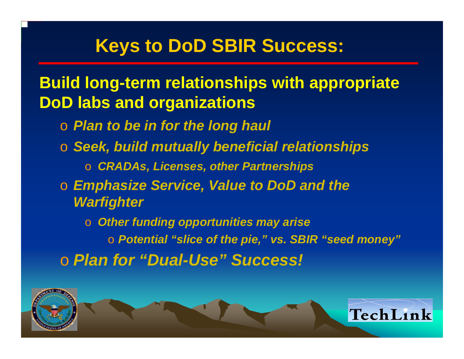### **Keys to DoD SBIR Success:**

**Build long-term relationships with appropriate DoD labs and organizations**

- o *Plan to be in for the long haul*
- o *Seek, build mutually beneficial relationships*
	- o *CRADAs, Licenses, other Partnerships*
- o *Emphasize Service, Value to DoD and the Warfighter*
- o *Other funding opportunities may arise* o *Potential "slice of the pie," vs. SBIR "seed money"* o *Plan for "Dual-Use" Success!*

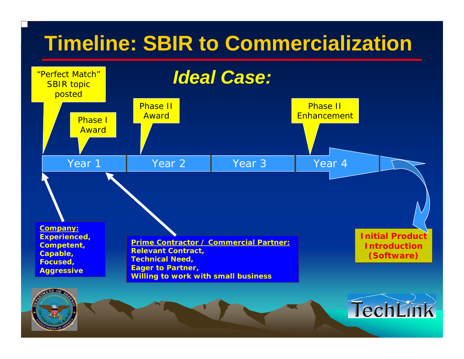## **Timeline: SBIR to Commercialization**

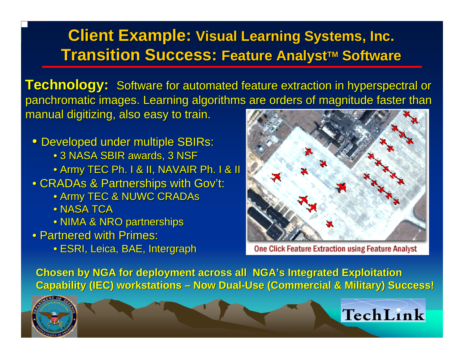### **Client Example: Visual Learning Systems, Inc. Transition Success: Feature Analyst™ Software**

**Technology:** Software for automated feature extraction in hyperspectral or panchromatic images. Learning algorithms are orders of magnitude faster than manual digitizing, also easy to train.

• Developed under multiple SBIRs:

- 3 NASA SBIR awards, 3 NSF
- Army TEC Ph. I & II, NAVAIR Ph. I & II
- CRADAs & Partnerships with Gov't:
	- Army TEC & NUWC CRADAs
	- $\bullet$  NASA TCA  $\overline{\phantom{a}}$
	- $\bullet$  NIMA & NRO partnerships
- Partnered with Primes:
	- ESRI, Leica, BAE, Intergraph



**One Click Feature Extraction using Feature Analyst** 

**Chosen by NGA for deployment across all NGA's Integrated Exploitation Capability (IEC) workstations – Now Dual-Use (Commercial & Military) Success!** 



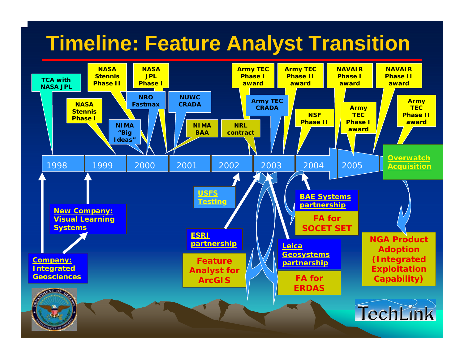## **Timeline: Feature Analyst Transition**

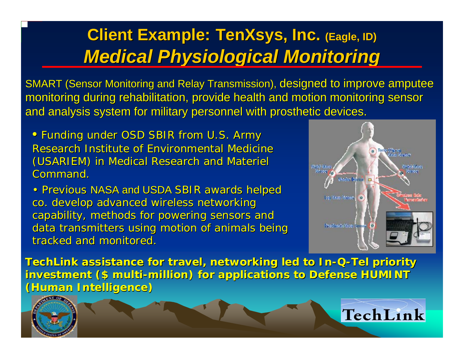### **Client Example: TenXsys, Inc. (Eagle, ID)** *Medical Physiological Monitoring Medical Physiological Monitoring*

SMART (Sensor Monitoring and Relay Transmission), designed to improve amputee monitoring during rehabilitation, provide health and motion monitoring sensor and analysis system for military personnel with prosthetic devices.

 $\bullet$  Funding under OSD SBIR from U.S. Army Research Institute of Environmental Medicine (USARIEM) in Medical Research and Materiel (USARIEM) in Medical Research and Materiel Command.

• Previous NASA and USDA SBIR awards helped co. develop advanced wireless networking capability, methods for powering sensors and data transmitters using motion of animals being tracked and monitored.



**TechLink assistance for travel, networking led to In assistance for travel, networking led to In-Q-Tel priority Tel priority investment (\$ multi investment (\$ multi-million) for applications to Defense HUMINT million) for applications to Defense HUMINT (Human Intelligence) (Human Intelligence)** 



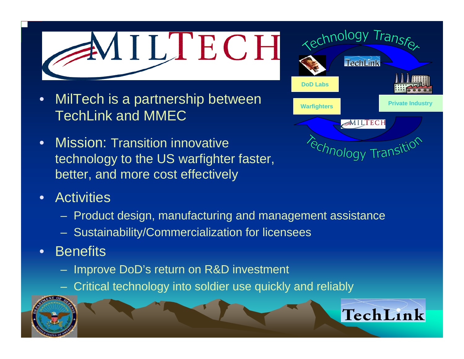

- • MilTech is a partnership between TechLink and MMEC
- Mission: Transition innovative technology to the US warfighter faster, better, and more cost effectively
- ransfer TechLink **DoD LabsWarfighters Private Industry Private Industry** echnology Transition

- Activities
	- Product design, manufacturing and management assistance
	- Sustainability/Commercialization for licensees
- $\bullet$ **Benefits** 
	- Improve DoD's return on R&D investment
	- Critical technology into soldier use quickly and reliably



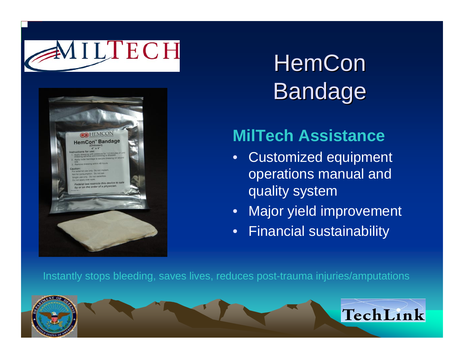



# **HemCon Bandage**

### **MilTech Assistance**

- • Customized equipment operations manual and quality system
- •Major yield improvement
- •Financial sustainability

Instantly stops bleeding, saves lives, reduces post-trauma injuries/amputations



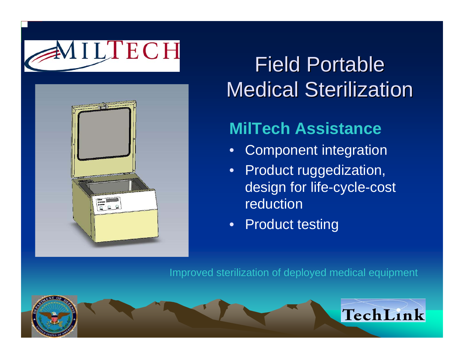



# **Field Portable Medical Sterilization**

### **MilTech Assistance**

- •Component integration
- Product ruggedization, design for life-cycle-cost reduction
- Product testing

#### Improved sterilization of deployed medical equipment



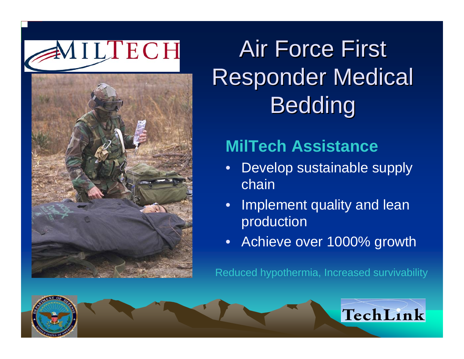AILTECH



# **Air Force First Responder Medical Bedding**

### **MilTech Assistance**

- • Develop sustainable supply chain
- $\bullet$  Implement quality and lean production
- •Achieve over 1000% growth

Reduced hypothermia, Increased survivability

TechLink

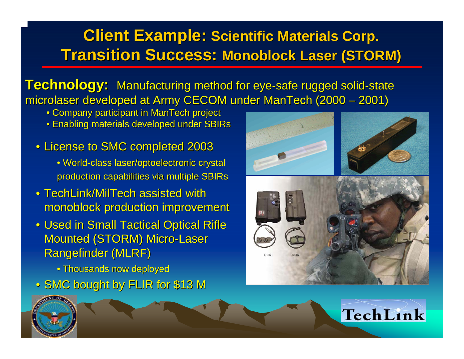### **Client Example: Scientific Materials Corp. Transition Success: Monoblock Laser (STORM)**

**Technology:** Manufacturing method for eye-safe rugged solid-state microlaser developed at Army CECOM under ManTech (2000 – 2001)

- $\bullet$  Company participant in ManTech project
- $\bullet$  Enabling materials developed under SBIRs
- License to SMC completed 2003
	- World-class laser/optoelectronic crystal production capabilities via multiple SBIRs
- $\bullet$  TechLink/MilTech assisted with  $\overline{\phantom{\mathbf{h}^2}}$ monoblock production improvement
- Used in Small Tactical Optical Rifle **Mounted (STORM) Micro-Laser Rangefinder (MLRF)** 
	- $\bullet$  Thousands now deployed
- $\bullet$  SMC bought by FLIR for \$13 M





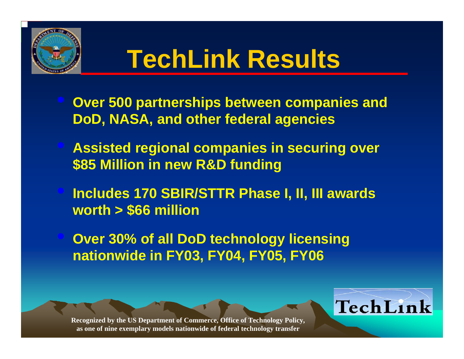

# **TechLink Results**

- **Over 500 partnerships between companies and DoD, NASA, and other federal agencies**
- **Assisted regional companies in securing over \$85 Million in new R&D funding**
- **Includes 170 SBIR/STTR Phase I, II, III awards worth > \$66 million**

 **Over 30% of all DoD technology licensing nationwide in FY03, FY04, FY05, FY06**



**Recognized by the US Department of Commerce, Office of Technology Policy, as one of nine exemplary models nationwide of federal technology transfer**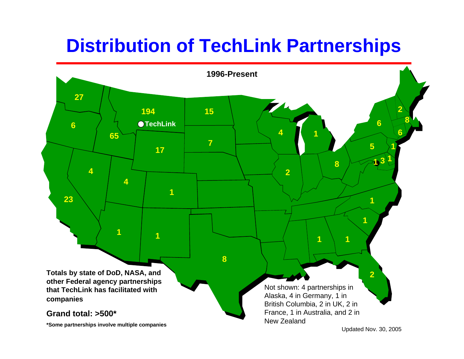## **Distribution of TechLink Partnerships**



Updated Nov. 30, 2005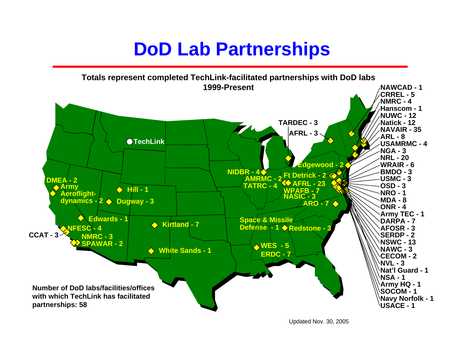## **DoD Lab Partnerships**